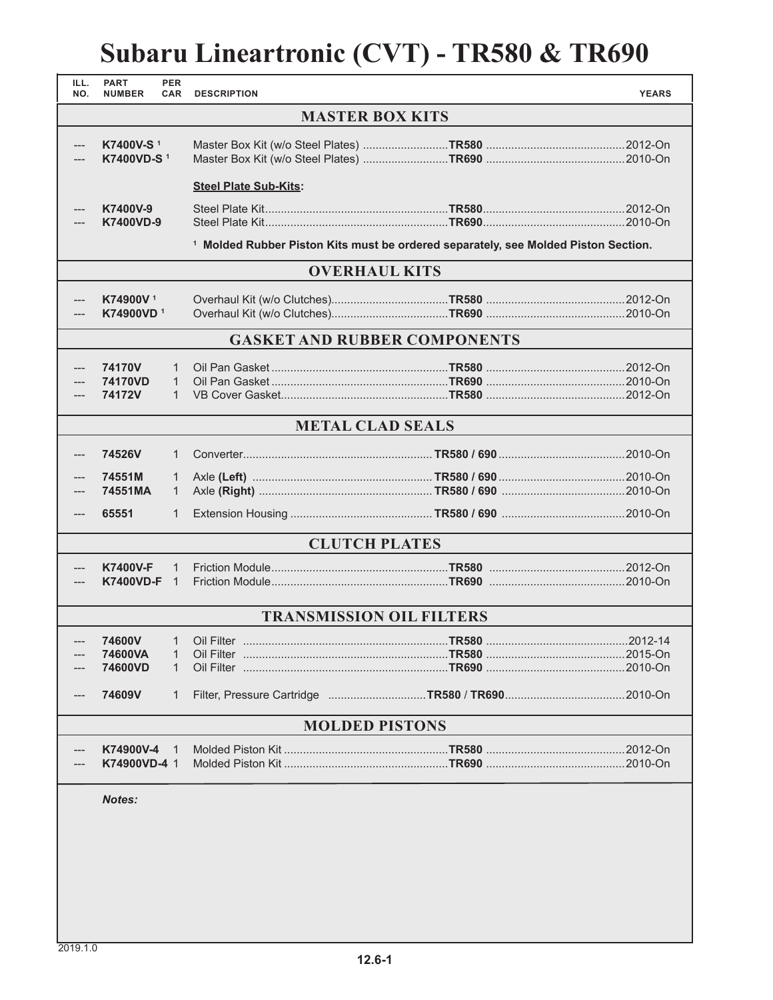## **Subaru Lineartronic (CVT) - TR580 & TR690**

| ILL.<br>NO.                         | <b>PART</b><br><b>NUMBER</b>                                                                  | <b>PER</b><br><b>CAR</b>          | <b>DESCRIPTION</b>           |  | <b>YEARS</b> |  |
|-------------------------------------|-----------------------------------------------------------------------------------------------|-----------------------------------|------------------------------|--|--------------|--|
| <b>MASTER BOX KITS</b>              |                                                                                               |                                   |                              |  |              |  |
| ---                                 | K7400V-S <sup>1</sup><br>K7400VD-S <sup>1</sup>                                               |                                   |                              |  |              |  |
|                                     |                                                                                               |                                   | <b>Steel Plate Sub-Kits:</b> |  |              |  |
| ---                                 | K7400V-9<br><b>K7400VD-9</b>                                                                  |                                   |                              |  |              |  |
|                                     | <sup>1</sup> Molded Rubber Piston Kits must be ordered separately, see Molded Piston Section. |                                   |                              |  |              |  |
| <b>OVERHAUL KITS</b>                |                                                                                               |                                   |                              |  |              |  |
| ---                                 | K74900V <sup>1</sup><br>K74900VD <sup>1</sup>                                                 |                                   |                              |  |              |  |
| <b>GASKET AND RUBBER COMPONENTS</b> |                                                                                               |                                   |                              |  |              |  |
|                                     | 74170V<br>74170VD<br>74172V                                                                   | 1<br>$\mathbf{1}$<br>$\mathbf{1}$ |                              |  |              |  |
| <b>METAL CLAD SEALS</b>             |                                                                                               |                                   |                              |  |              |  |
| ---                                 | 74526V                                                                                        | $\mathbf{1}$                      |                              |  |              |  |
|                                     | 74551M<br>74551MA                                                                             | $\mathbf{1}$<br>$\mathbf{1}$      |                              |  |              |  |
| ---                                 | 65551                                                                                         | 1                                 |                              |  |              |  |
| <b>CLUTCH PLATES</b>                |                                                                                               |                                   |                              |  |              |  |
| ---                                 | <b>K7400V-F</b><br>K7400VD-F 1                                                                | 1                                 |                              |  |              |  |
| <b>TRANSMISSION OIL FILTERS</b>     |                                                                                               |                                   |                              |  |              |  |
|                                     | 74600VA<br>74600VD<br>74609V                                                                  | 1<br>$\mathbf{1}$<br>1            |                              |  |              |  |
| <b>MOLDED PISTONS</b>               |                                                                                               |                                   |                              |  |              |  |
|                                     | K74900V-4<br>K74900VD-4 1                                                                     | 1                                 |                              |  |              |  |
|                                     | <b>Notes:</b>                                                                                 |                                   |                              |  |              |  |
|                                     |                                                                                               |                                   |                              |  |              |  |